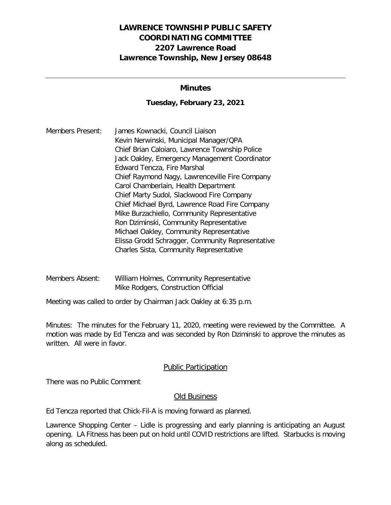# **LAWRENCE TOWNSHIP PUBLIC SAFETY COORDINATING COMMITTEE 2207 Lawrence Road Lawrence Township, New Jersey 08648**

## **Minutes**

## **Tuesday, February 23, 2021**

Members Present: James Kownacki, Council Liaison Kevin Nerwinski, Municipal Manager/QPA Chief Brian Caloiaro, Lawrence Township Police Jack Oakley, Emergency Management Coordinator Edward Tencza, Fire Marshal Chief Raymond Nagy, Lawrenceville Fire Company Carol Chamberlain, Health Department Chief Marty Sudol, Slackwood Fire Company Chief Michael Byrd, Lawrence Road Fire Company Mike Burzachiello, Community Representative Ron Dziminski, Community Representative Michael Oakley, Community Representative Elissa Grodd Schragger, Community Representative Charles Sista, Community Representative

Members Absent: William Holmes, Community Representative Mike Rodgers, Construction Official

Meeting was called to order by Chairman Jack Oakley at 6:35 p.m.

Minutes: The minutes for the February 11, 2020, meeting were reviewed by the Committee. A motion was made by Ed Tencza and was seconded by Ron Dziminski to approve the minutes as written. All were in favor.

#### Public Participation

There was no Public Comment

#### Old Business

Ed Tencza reported that Chick-Fil-A is moving forward as planned.

Lawrence Shopping Center – Lidle is progressing and early planning is anticipating an August opening. LA Fitness has been put on hold until COVID restrictions are lifted. Starbucks is moving along as scheduled.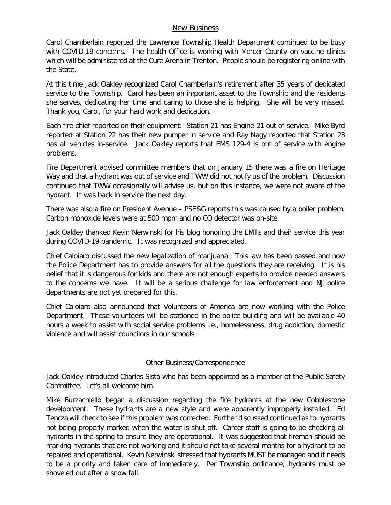#### New Business

Carol Chamberlain reported the Lawrence Township Health Department continued to be busy with COVID-19 concerns. The health Office is working with Mercer County on vaccine clinics which will be administered at the Cure Arena in Trenton. People should be registering online with the State.

At this time Jack Oakley recognized Carol Chamberlain's retirement after 35 years of dedicated service to the Township. Carol has been an important asset to the Township and the residents she serves, dedicating her time and caring to those she is helping. She will be very missed. Thank you, Carol, for your hard work and dedication.

Each fire chief reported on their equipment: Station 21 has Engine 21 out of service. Mike Byrd reported at Station 22 has their new pumper in service and Ray Nagy reported that Station 23 has all vehicles in-service. Jack Oakley reports that EMS 129-4 is out of service with engine problems.

Fire Department advised committee members that on January 15 there was a fire on Heritage Way and that a hydrant was out of service and TWW did not notify us of the problem. Discussion continued that TWW occasionally will advise us, but on this instance, we were not aware of the hydrant. It was back in service the next day.

There was also a fire on President Avenue – PSE&G reports this was caused by a boiler problem. Carbon monoxide levels were at 500 mpm and no CO detector was on-site.

Jack Oakley thanked Kevin Nerwinski for his blog honoring the EMTs and their service this year during COVID-19 pandemic. It was recognized and appreciated.

Chief Caloiaro discussed the new legalization of marijuana. This law has been passed and now the Police Department has to provide answers for all the questions they are receiving. It is his belief that it is dangerous for kids and there are not enough experts to provide needed answers to the concerns we have. It will be a serious challenge for law enforcement and NJ police departments are not yet prepared for this.

Chief Caloiaro also announced that Volunteers of America are now working with the Police Department. These volunteers will be stationed in the police building and will be available 40 hours a week to assist with social service problems i.e., homelessness, drug addiction, domestic violence and will assist councilors in our schools.

#### Other Business/Correspondence

Jack Oakley introduced Charles Sista who has been appointed as a member of the Public Safety Committee. Let's all welcome him.

Mike Burzachiello began a discussion regarding the fire hydrants at the new Cobblestone development. These hydrants are a new style and were apparently improperly installed. Ed Tencza will check to see if this problem was corrected. Further discussed continued as to hydrants not being properly marked when the water is shut off. Career staff is going to be checking all hydrants in the spring to ensure they are operational. It was suggested that firemen should be marking hydrants that are not working and it should not take several months for a hydrant to be repaired and operational. Kevin Nerwinski stressed that hydrants MUST be managed and it needs to be a priority and taken care of immediately. Per Township ordinance, hydrants must be shoveled out after a snow fall.